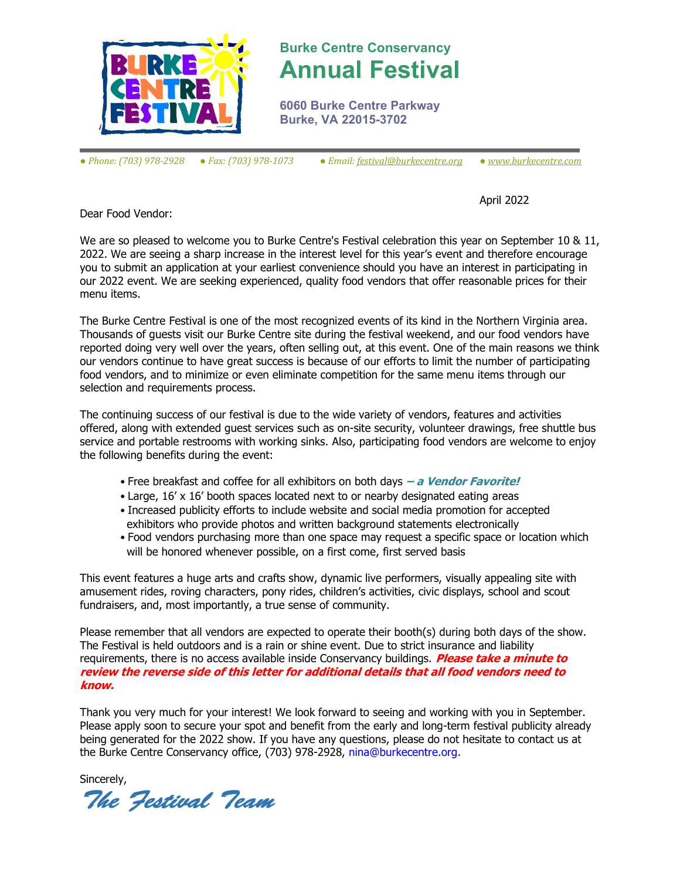

## **Burke Centre Conservancy Annual Festival**

**6060 Burke Centre Parkway Burke, VA 22015-3702**

*● Phone: (703) 978-2928 ● Fax: (703) 978-1073 ● Email[: festival@burkecentre.org](mailto:festival@burkecentre.org) ● www.burkecentre.com*

April 2022

Dear Food Vendor:

We are so pleased to welcome you to Burke Centre's Festival celebration this year on September 10 & 11, 2022. We are seeing a sharp increase in the interest level for this year's event and therefore encourage you to submit an application at your earliest convenience should you have an interest in participating in our 2022 event. We are seeking experienced, quality food vendors that offer reasonable prices for their menu items.

The Burke Centre Festival is one of the most recognized events of its kind in the Northern Virginia area. Thousands of guests visit our Burke Centre site during the festival weekend, and our food vendors have reported doing very well over the years, often selling out, at this event. One of the main reasons we think our vendors continue to have great success is because of our efforts to limit the number of participating food vendors, and to minimize or even eliminate competition for the same menu items through our selection and requirements process.

The continuing success of our festival is due to the wide variety of vendors, features and activities offered, along with extended guest services such as on-site security, volunteer drawings, free shuttle bus service and portable restrooms with working sinks. Also, participating food vendors are welcome to enjoy the following benefits during the event:

- Free breakfast and coffee for all exhibitors on both days **– a Vendor Favorite!**
- Large, 16' x 16' booth spaces located next to or nearby designated eating areas
- Increased publicity efforts to include website and social media promotion for accepted exhibitors who provide photos and written background statements electronically
- Food vendors purchasing more than one space may request a specific space or location which will be honored whenever possible, on a first come, first served basis

This event features a huge arts and crafts show, dynamic live performers, visually appealing site with amusement rides, roving characters, pony rides, children's activities, civic displays, school and scout fundraisers, and, most importantly, a true sense of community.

Please remember that all vendors are expected to operate their booth(s) during both days of the show. The Festival is held outdoors and is a rain or shine event. Due to strict insurance and liability requirements, there is no access available inside Conservancy buildings. **Please take a minute to review the reverse side of this letter for additional details that all food vendors need to know.**

Thank you very much for your interest! We look forward to seeing and working with you in September. Please apply soon to secure your spot and benefit from the early and long-term festival publicity already being generated for the 2022 show. If you have any questions, please do not hesitate to contact us at the Burke Centre Conservancy office, (703) 978-2928, nina@burkecentre.org.

Sincerely,

The Festival Team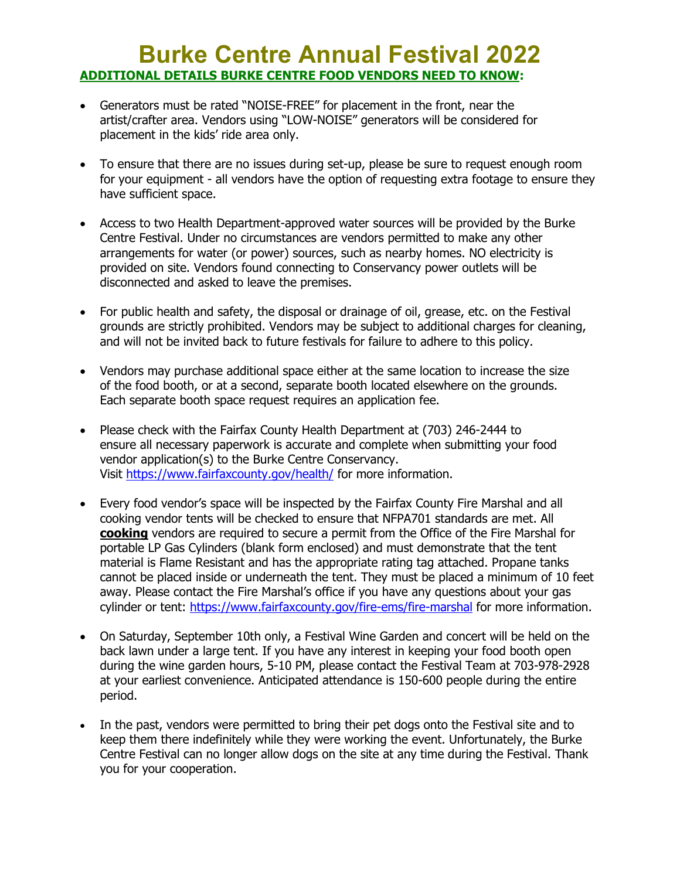## **Burke Centre Annual Festival 2022 ADDITIONAL DETAILS BURKE CENTRE FOOD VENDORS NEED TO KNOW:**

- Generators must be rated "NOISE-FREE" for placement in the front, near the artist/crafter area. Vendors using "LOW-NOISE" generators will be considered for placement in the kids' ride area only.
- To ensure that there are no issues during set-up, please be sure to request enough room for your equipment - all vendors have the option of requesting extra footage to ensure they have sufficient space.
- Access to two Health Department-approved water sources will be provided by the Burke Centre Festival. Under no circumstances are vendors permitted to make any other arrangements for water (or power) sources, such as nearby homes. NO electricity is provided on site. Vendors found connecting to Conservancy power outlets will be disconnected and asked to leave the premises.
- For public health and safety, the disposal or drainage of oil, grease, etc. on the Festival grounds are strictly prohibited. Vendors may be subject to additional charges for cleaning, and will not be invited back to future festivals for failure to adhere to this policy.
- Vendors may purchase additional space either at the same location to increase the size of the food booth, or at a second, separate booth located elsewhere on the grounds. Each separate booth space request requires an application fee.
- Please check with the Fairfax County Health Department at (703) 246-2444 to ensure all necessary paperwork is accurate and complete when submitting your food vendor application(s) to the Burke Centre Conservancy. Visit <https://www.fairfaxcounty.gov/health/> for more information.
- Every food vendor's space will be inspected by the Fairfax County Fire Marshal and all cooking vendor tents will be checked to ensure that NFPA701 standards are met. All **cooking** vendors are required to secure a permit from the Office of the Fire Marshal for portable LP Gas Cylinders (blank form enclosed) and must demonstrate that the tent material is Flame Resistant and has the appropriate rating tag attached. Propane tanks cannot be placed inside or underneath the tent. They must be placed a minimum of 10 feet away. Please contact the Fire Marshal's office if you have any questions about your gas cylinder or tent: <https://www.fairfaxcounty.gov/fire-ems/fire-marshal> for more information.
- On Saturday, September 10th only, a Festival Wine Garden and concert will be held on the back lawn under a large tent. If you have any interest in keeping your food booth open during the wine garden hours, 5-10 PM, please contact the Festival Team at 703-978-2928 at your earliest convenience. Anticipated attendance is 150-600 people during the entire period.
- In the past, vendors were permitted to bring their pet dogs onto the Festival site and to keep them there indefinitely while they were working the event. Unfortunately, the Burke Centre Festival can no longer allow dogs on the site at any time during the Festival. Thank you for your cooperation.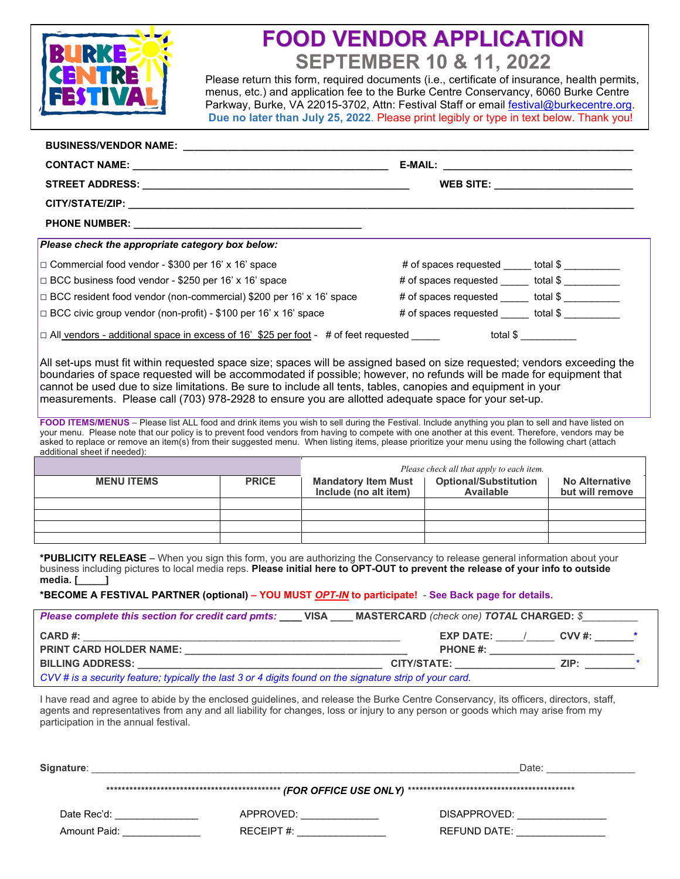

# **FOOD VENDOR APPLICATION SEPTEMBER 10 & 11, 2022**

Please return this form, required documents (i.e., certificate of insurance, health permits, menus, etc.) and application fee to the Burke Centre Conservancy, 6060 Burke Centre Parkway, Burke, VA 22015-3702, Attn: Festival Staff or email [festival@burkecentre.org.](mailto:festival@burkecentre.org) **Due no later than July 25, 2022**. Please print legibly or type in text below. Thank you!

|                                                                                                                                                                                                                                                                                                                                                                                                                                                                                                |                                                  | WEB SITE: ______________________________ |
|------------------------------------------------------------------------------------------------------------------------------------------------------------------------------------------------------------------------------------------------------------------------------------------------------------------------------------------------------------------------------------------------------------------------------------------------------------------------------------------------|--------------------------------------------------|------------------------------------------|
|                                                                                                                                                                                                                                                                                                                                                                                                                                                                                                |                                                  |                                          |
|                                                                                                                                                                                                                                                                                                                                                                                                                                                                                                |                                                  |                                          |
| Please check the appropriate category box below:                                                                                                                                                                                                                                                                                                                                                                                                                                               |                                                  |                                          |
| □ Commercial food vendor - \$300 per 16' x 16' space                                                                                                                                                                                                                                                                                                                                                                                                                                           | # of spaces requested _____ total \$ _________   |                                          |
| □ BCC business food vendor - \$250 per 16' x 16' space                                                                                                                                                                                                                                                                                                                                                                                                                                         | # of spaces requested ______ total \$ __________ |                                          |
| □ BCC resident food vendor (non-commercial) \$200 per 16' x 16' space                                                                                                                                                                                                                                                                                                                                                                                                                          | # of spaces requested ______ total \$            |                                          |
| □ BCC civic group vendor (non-profit) - \$100 per 16' x 16' space                                                                                                                                                                                                                                                                                                                                                                                                                              | # of spaces requested ______ total \$ __________ |                                          |
| □ All <u>vendors - additional space in excess of 16' \$25 per foot</u> -   # of feet requested _____     total \$ __________                                                                                                                                                                                                                                                                                                                                                                   |                                                  |                                          |
| All set-ups must fit within requested space size; spaces will be assigned based on size requested; vendors exceeding the<br>boundaries of space requested will be accommodated if possible; however, no refunds will be made for equipment that<br>cannot be used due to size limitations. Be sure to include all tents, tables, canopies and equipment in your<br>measurements. Please call (703) 978-2928 to ensure you are allotted adequate space for your set-up.                         |                                                  |                                          |
| FOOD ITEMS/MENUS - Please list ALL food and drink items you wish to sell during the Festival. Include anything you plan to sell and have listed on<br>your menu. Please note that our policy is to prevent food vendors from having to compete with one another at this event. Therefore, vendors may be<br>asked to replace or remove an item(s) from their suggested menu. When listing items, please prioritize your menu using the following chart (attach<br>additional sheet if needed): |                                                  |                                          |
|                                                                                                                                                                                                                                                                                                                                                                                                                                                                                                | Dlagan shash all that ann by to good it am       |                                          |

|                   |              | Please check all that apply to each item.           |                                           |                                          |
|-------------------|--------------|-----------------------------------------------------|-------------------------------------------|------------------------------------------|
| <b>MENU ITEMS</b> | <b>PRICE</b> | <b>Mandatory Item Must</b><br>Include (no alt item) | <b>Optional/Substitution</b><br>Available | <b>No Alternative</b><br>but will remove |
|                   |              |                                                     |                                           |                                          |
|                   |              |                                                     |                                           |                                          |
|                   |              |                                                     |                                           |                                          |
|                   |              |                                                     |                                           |                                          |

**\*PUBLICITY RELEASE** – When you sign this form, you are authorizing the Conservancy to release general information about your business including pictures to local media reps. **Please initial here to OPT-OUT to prevent the release of your info to outside media. [\_\_\_\_\_]**

#### **\*BECOME A FESTIVAL PARTNER (optional) – YOU MUST** *OPT-IN* **to participate!** - **See Back page for details.**

| <b>Please complete this section for credit card pmts:</b> VISA                                           | <b>MASTERCARD</b> (check one) TOTAL CHARGED: \$ |                            |  |
|----------------------------------------------------------------------------------------------------------|-------------------------------------------------|----------------------------|--|
| CARD#:                                                                                                   | <b>EXP DATE:</b>                                | $CVV \#$ : $\qquad \qquad$ |  |
| <b>PRINT CARD HOLDER NAME:</b>                                                                           | <b>PHONE #:</b>                                 |                            |  |
| <b>BILLING ADDRESS:</b>                                                                                  | CITY/STATE:                                     | ZIP:                       |  |
| CVV # is a security feature; typically the last 3 or 4 digits found on the signature strip of your card. |                                                 |                            |  |

I have read and agree to abide by the enclosed guidelines, and release the Burke Centre Conservancy, its officers, directors, staff, agents and representatives from any and all liability for changes, loss or injury to any person or goods which may arise from my participation in the annual festival.

| Signature:   |               | Date:        |  |  |
|--------------|---------------|--------------|--|--|
|              |               |              |  |  |
| Date Rec'd:  | APPROVED:     | DISAPPROVED: |  |  |
| Amount Paid: | RECEIPT $#$ : | REFUND DATE: |  |  |